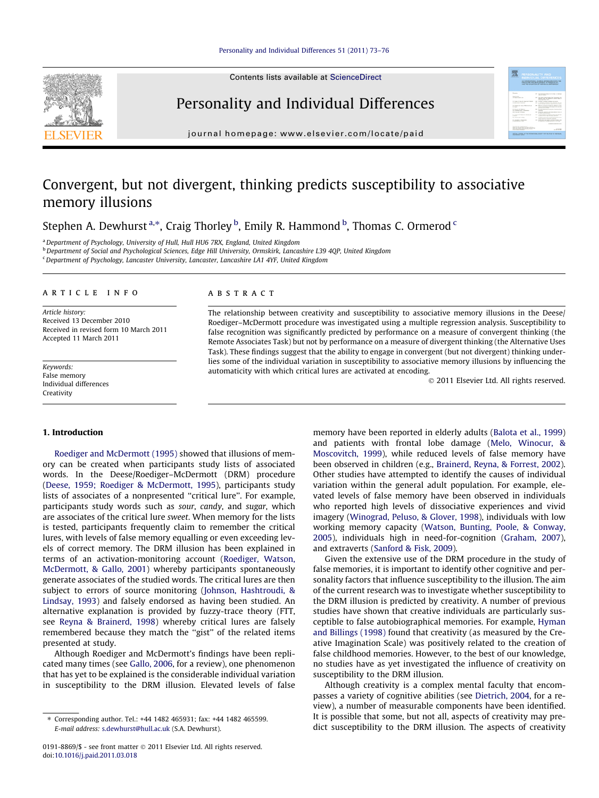Contents lists available at [ScienceDirect](http://www.sciencedirect.com/science/journal/01918869)

# Personality and Individual Differences

journal homepage: [www.elsevier.com/locate/paid](http://www.elsevier.com/locate/paid)

# Convergent, but not divergent, thinking predicts susceptibility to associative memory illusions

Stephen A. Dewhurst <sup>a,\*</sup>, Craig Thorley <sup>b</sup>, Emily R. Hammond <sup>b</sup>, Thomas C. Ormerod <sup>c</sup>

<sup>a</sup>Department of Psychology, University of Hull, Hull HU6 7RX, England, United Kingdom

<sup>b</sup> Department of Social and Psychological Sciences, Edge Hill University, Ormskirk, Lancashire L39 4QP, United Kingdom

 $c$  Department of Psychology, Lancaster University, Lancaster, Lancashire LA1 4YF, United Kingdom

# article info

Article history: Received 13 December 2010 Received in revised form 10 March 2011 Accepted 11 March 2011

Keywords: False memory Individual differences Creativity

# ABSTRACT

The relationship between creativity and susceptibility to associative memory illusions in the Deese/ Roediger–McDermott procedure was investigated using a multiple regression analysis. Susceptibility to false recognition was significantly predicted by performance on a measure of convergent thinking (the Remote Associates Task) but not by performance on a measure of divergent thinking (the Alternative Uses Task). These findings suggest that the ability to engage in convergent (but not divergent) thinking underlies some of the individual variation in susceptibility to associative memory illusions by influencing the automaticity with which critical lures are activated at encoding.

- 2011 Elsevier Ltd. All rights reserved.

**MONTO CONSTANTO** 

#### 1. Introduction

[Roediger and McDermott \(1995\)](#page--1-0) showed that illusions of memory can be created when participants study lists of associated words. In the Deese/Roediger–McDermott (DRM) procedure ([Deese, 1959; Roediger & McDermott, 1995\)](#page--1-0), participants study lists of associates of a nonpresented ''critical lure''. For example, participants study words such as sour, candy, and sugar, which are associates of the critical lure sweet. When memory for the lists is tested, participants frequently claim to remember the critical lures, with levels of false memory equalling or even exceeding levels of correct memory. The DRM illusion has been explained in terms of an activation-monitoring account [\(Roediger, Watson,](#page--1-0) [McDermott, & Gallo, 2001\)](#page--1-0) whereby participants spontaneously generate associates of the studied words. The critical lures are then subject to errors of source monitoring [\(Johnson, Hashtroudi, &](#page--1-0) [Lindsay, 1993\)](#page--1-0) and falsely endorsed as having been studied. An alternative explanation is provided by fuzzy-trace theory (FTT, see [Reyna & Brainerd, 1998\)](#page--1-0) whereby critical lures are falsely remembered because they match the "gist" of the related items presented at study.

Although Roediger and McDermott's findings have been replicated many times (see [Gallo, 2006,](#page--1-0) for a review), one phenomenon that has yet to be explained is the considerable individual variation in susceptibility to the DRM illusion. Elevated levels of false

memory have been reported in elderly adults ([Balota et al., 1999\)](#page--1-0) and patients with frontal lobe damage [\(Melo, Winocur, &](#page--1-0) [Moscovitch, 1999](#page--1-0)), while reduced levels of false memory have been observed in children (e.g., [Brainerd, Reyna, & Forrest, 2002\)](#page--1-0). Other studies have attempted to identify the causes of individual variation within the general adult population. For example, elevated levels of false memory have been observed in individuals who reported high levels of dissociative experiences and vivid imagery [\(Winograd, Peluso, & Glover, 1998](#page--1-0)), individuals with low working memory capacity [\(Watson, Bunting, Poole, & Conway,](#page--1-0) [2005](#page--1-0)), individuals high in need-for-cognition ([Graham, 2007\)](#page--1-0), and extraverts [\(Sanford & Fisk, 2009](#page--1-0)).

Given the extensive use of the DRM procedure in the study of false memories, it is important to identify other cognitive and personality factors that influence susceptibility to the illusion. The aim of the current research was to investigate whether susceptibility to the DRM illusion is predicted by creativity. A number of previous studies have shown that creative individuals are particularly susceptible to false autobiographical memories. For example, [Hyman](#page--1-0) [and Billings \(1998\)](#page--1-0) found that creativity (as measured by the Creative Imagination Scale) was positively related to the creation of false childhood memories. However, to the best of our knowledge, no studies have as yet investigated the influence of creativity on susceptibility to the DRM illusion.

Although creativity is a complex mental faculty that encompasses a variety of cognitive abilities (see [Dietrich, 2004,](#page--1-0) for a review), a number of measurable components have been identified. It is possible that some, but not all, aspects of creativity may predict susceptibility to the DRM illusion. The aspects of creativity

<sup>⇑</sup> Corresponding author. Tel.: +44 1482 465931; fax: +44 1482 465599. E-mail address: [s.dewhurst@hull.ac.uk](mailto:s.dewhurst@hull.ac.uk) (S.A. Dewhurst).

<sup>0191-8869/\$ -</sup> see front matter © 2011 Elsevier Ltd. All rights reserved. doi[:10.1016/j.paid.2011.03.018](http://dx.doi.org/10.1016/j.paid.2011.03.018)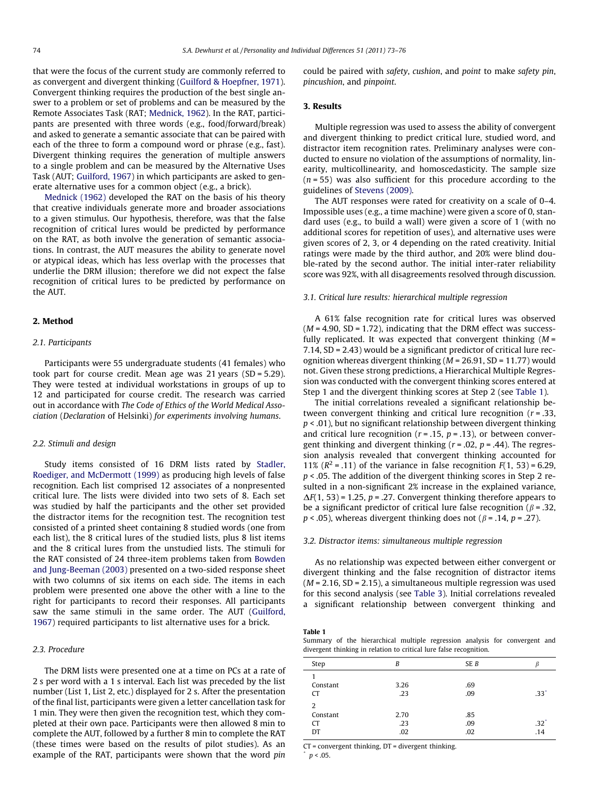that were the focus of the current study are commonly referred to as convergent and divergent thinking [\(Guilford & Hoepfner, 1971\)](#page--1-0). Convergent thinking requires the production of the best single answer to a problem or set of problems and can be measured by the Remote Associates Task (RAT; [Mednick, 1962](#page--1-0)). In the RAT, participants are presented with three words (e.g., food/forward/break) and asked to generate a semantic associate that can be paired with each of the three to form a compound word or phrase (e.g., fast). Divergent thinking requires the generation of multiple answers to a single problem and can be measured by the Alternative Uses Task (AUT; [Guilford, 1967\)](#page--1-0) in which participants are asked to generate alternative uses for a common object (e.g., a brick).

[Mednick \(1962\)](#page--1-0) developed the RAT on the basis of his theory that creative individuals generate more and broader associations to a given stimulus. Our hypothesis, therefore, was that the false recognition of critical lures would be predicted by performance on the RAT, as both involve the generation of semantic associations. In contrast, the AUT measures the ability to generate novel or atypical ideas, which has less overlap with the processes that underlie the DRM illusion; therefore we did not expect the false recognition of critical lures to be predicted by performance on the AUT.

## 2. Method

#### 2.1. Participants

Participants were 55 undergraduate students (41 females) who took part for course credit. Mean age was 21 years (SD = 5.29). They were tested at individual workstations in groups of up to 12 and participated for course credit. The research was carried out in accordance with The Code of Ethics of the World Medical Association (Declaration of Helsinki) for experiments involving humans.

#### 2.2. Stimuli and design

Study items consisted of 16 DRM lists rated by [Stadler,](#page--1-0) [Roediger, and McDermott \(1999\)](#page--1-0) as producing high levels of false recognition. Each list comprised 12 associates of a nonpresented critical lure. The lists were divided into two sets of 8. Each set was studied by half the participants and the other set provided the distractor items for the recognition test. The recognition test consisted of a printed sheet containing 8 studied words (one from each list), the 8 critical lures of the studied lists, plus 8 list items and the 8 critical lures from the unstudied lists. The stimuli for the RAT consisted of 24 three-item problems taken from [Bowden](#page--1-0) [and Jung-Beeman \(2003\)](#page--1-0) presented on a two-sided response sheet with two columns of six items on each side. The items in each problem were presented one above the other with a line to the right for participants to record their responses. All participants saw the same stimuli in the same order. The AUT ([Guilford,](#page--1-0) [1967\)](#page--1-0) required participants to list alternative uses for a brick.

# 2.3. Procedure

The DRM lists were presented one at a time on PCs at a rate of 2 s per word with a 1 s interval. Each list was preceded by the list number (List 1, List 2, etc.) displayed for 2 s. After the presentation of the final list, participants were given a letter cancellation task for 1 min. They were then given the recognition test, which they completed at their own pace. Participants were then allowed 8 min to complete the AUT, followed by a further 8 min to complete the RAT (these times were based on the results of pilot studies). As an example of the RAT, participants were shown that the word pin could be paired with safety, cushion, and point to make safety pin, pincushion, and pinpoint.

# 3. Results

Multiple regression was used to assess the ability of convergent and divergent thinking to predict critical lure, studied word, and distractor item recognition rates. Preliminary analyses were conducted to ensure no violation of the assumptions of normality, linearity, multicollinearity, and homoscedasticity. The sample size  $(n = 55)$  was also sufficient for this procedure according to the guidelines of [Stevens \(2009\)](#page--1-0).

The AUT responses were rated for creativity on a scale of 0–4. Impossible uses (e.g., a time machine) were given a score of 0, standard uses (e.g., to build a wall) were given a score of 1 (with no additional scores for repetition of uses), and alternative uses were given scores of 2, 3, or 4 depending on the rated creativity. Initial ratings were made by the third author, and 20% were blind double-rated by the second author. The initial inter-rater reliability score was 92%, with all disagreements resolved through discussion.

### 3.1. Critical lure results: hierarchical multiple regression

A 61% false recognition rate for critical lures was observed  $(M = 4.90, SD = 1.72)$ , indicating that the DRM effect was successfully replicated. It was expected that convergent thinking  $(M =$ 7.14, SD = 2.43) would be a significant predictor of critical lure recognition whereas divergent thinking ( $M = 26.91$ , SD = 11.77) would not. Given these strong predictions, a Hierarchical Multiple Regression was conducted with the convergent thinking scores entered at Step 1 and the divergent thinking scores at Step 2 (see Table 1).

The initial correlations revealed a significant relationship between convergent thinking and critical lure recognition  $(r = .33, ...)$  $p < .01$ ), but no significant relationship between divergent thinking and critical lure recognition ( $r = .15$ ,  $p = .13$ ), or between convergent thinking and divergent thinking ( $r = .02$ ,  $p = .44$ ). The regression analysis revealed that convergent thinking accounted for 11% ( $R^2$  = .11) of the variance in false recognition  $F(1, 53)$  = 6.29,  $p$  < .05. The addition of the divergent thinking scores in Step 2 resulted in a non-significant 2% increase in the explained variance,  $\Delta F(1, 53)$  = 1.25, p = .27. Convergent thinking therefore appears to be a significant predictor of critical lure false recognition ( $\beta$  = .32,  $p < .05$ ), whereas divergent thinking does not ( $\beta = .14$ ,  $p = .27$ ).

## 3.2. Distractor items: simultaneous multiple regression

As no relationship was expected between either convergent or divergent thinking and the false recognition of distractor items  $(M = 2.16, SD = 2.15)$ , a simultaneous multiple regression was used for this second analysis (see [Table 3](#page--1-0)). Initial correlations revealed a significant relationship between convergent thinking and

#### Table 1

Summary of the hierarchical multiple regression analysis for convergent and divergent thinking in relation to critical lure false recognition.

| Step                                          | B                  | SE B              |             |
|-----------------------------------------------|--------------------|-------------------|-------------|
| Constant<br><b>CT</b>                         | 3.26<br>.23        | .69<br>.09        | .33'        |
| $\overline{2}$<br>Constant<br><b>CT</b><br>DT | 2.70<br>.23<br>.02 | .85<br>.09<br>.02 | .32"<br>.14 |

CT = convergent thinking, DT = divergent thinking.

 $p < .05$ .